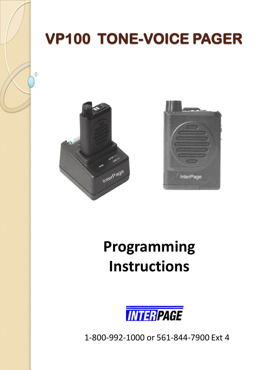# **VP100 TONE-VOICE PAGER**



 $\Omega$ 



# **Programming Instructions**



1-800-992-1000 or 561-844-7900 Ext 4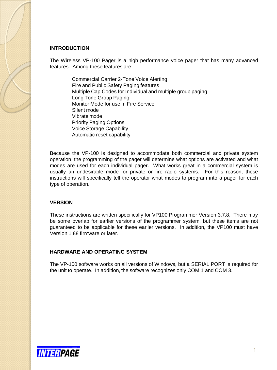### **INTRODUCTION**

The Wireless VP-100 Pager is a high performance voice pager that has many advanced features. Among these features are:

Commercial Carrier 2-Tone Voice Alerting Fire and Public Safety Paging features Multiple Cap Codes for Individual and multiple group paging Long Tone Group Paging Monitor Mode for use in Fire Service Silent mode Vibrate mode Priority Paging Options Voice Storage Capability Automatic reset capability

Because the VP-100 is designed to accommodate both commercial and private system operation, the programming of the pager will determine what options are activated and what modes are used for each individual pager. What works great in a commercial system is usually an undesirable mode for private or fire radio systems. For this reason, these instructions will specifically tell the operator what modes to program into a pager for each type of operation.

#### **VERSION**

These instructions are written specifically for VP100 Programmer Version 3.7.8. There may be some overlap for earlier versions of the programmer system, but these items are not guaranteed to be applicable for these earlier versions. In addition, the VP100 must have Version 1.88 firmware or later.

#### **HARDWARE AND OPERATING SYSTEM**

The VP-100 software works on all versions of Windows, but a SERIAL PORT is required for the unit to operate. In addition, the software recognizes only COM 1 and COM 3.

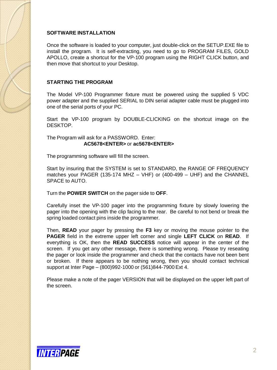# **SOFTWARE INSTALLATION**

Once the software is loaded to your computer, just double-click on the SETUP.EXE file to install the program. It is self-extracting, you need to go to PROGRAM FILES, GOLD APOLLO, create a shortcut for the VP-100 program using the RIGHT CLICK button, and then move that shortcut to your Desktop.

# **STARTING THE PROGRAM**

The Model VP-100 Programmer fixture must be powered using the supplied 5 VDC power adapter and the supplied SERIAL to DIN serial adapter cable must be plugged into one of the serial ports of your PC.

Start the VP-100 program by DOUBLE-CLICKING on the shortcut image on the DESKTOP.

The Program will ask for a PASSWORD. Enter: **AC5678<ENTER>** or **ac5678<ENTER>**

The programming software will fill the screen.

Start by insuring that the SYSTEM is set to STANDARD, the RANGE OF FREQUENCY matches your PAGER (135-174 MHZ – VHF) or (400-499 – UHF) and the CHANNEL SPACE to AUTO.

Turn the **POWER SWITCH** on the pager side to **OFF**.

Carefully inset the VP-100 pager into the programming fixture by slowly lowering the pager into the opening with the clip facing to the rear. Be careful to not bend or break the spring loaded contact pins inside the programmer.

Then, **READ** your pager by pressing the **F3** key or moving the mouse pointer to the **PAGER** field in the extreme upper left corner and single **LEFT CLICK** on **READ**. If everything is OK, then the **READ SUCCESS** notice will appear in the center of the screen. If you get any other message, there is something wrong. Please try reseating the pager or look inside the programmer and check that the contacts have not been bent or broken. If there appears to be nothing wrong, then you should contact technical support at Inter Page – (800)992-1000 or (561)844-7900 Ext 4.

Please make a note of the pager VERSION that will be displayed on the upper left part of the screen.

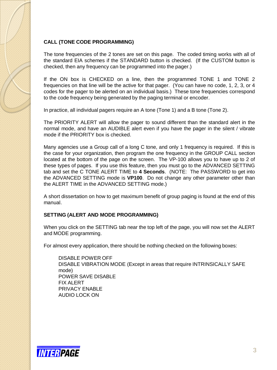# **CALL (TONE CODE PROGRAMMING)**

The tone frequencies of the 2 tones are set on this page. The coded timing works with all of the standard EIA schemes if the STANDARD button is checked. (If the CUSTOM button is checked, then any frequency can be programmed into the pager.)

If the ON box is CHECKED on a line, then the programmed TONE 1 and TONE 2 frequencies on that line will be the active for that pager. (You can have no code, 1, 2, 3, or 4 codes for the pager to be alerted on an individual basis.) These tone frequencies correspond to the code frequency being generated by the paging terminal or encoder.

In practice, all individual pagers require an A tone (Tone 1) and a B tone (Tone 2).

The PRIORITY ALERT will allow the pager to sound different than the standard alert in the normal mode, and have an AUDIBLE alert even if you have the pager in the silent / vibrate mode if the PRIORITY box is checked.

Many agencies use a Group call of a long C tone, and only 1 frequency is required. If this is the case for your organization, then program the one frequency in the GROUP CALL section located at the bottom of the page on the screen. The VP-100 allows you to have up to 2 of these types of pages. If you use this feature, then you must go to the ADVANCED SETTING tab and set the C TONE ALERT TIME to **4 Seconds**. (NOTE: The PASSWORD to get into the ADVANCED SETTING mode is **VP100**. Do not change any other parameter other than the ALERT TIME in the ADVANCED SETTING mode.)

A short dissertation on how to get maximum benefit of group paging is found at the end of this manual.

# **SETTING (ALERT AND MODE PROGRAMMING)**

When you click on the SETTING tab near the top left of the page, you will now set the ALERT and MODE programming.

For almost every application, there should be nothing checked on the following boxes:

DISABLE POWER OFF DISABLE VIBRATION MODE (Except in areas that require INTRINSICALLY SAFE mode) POWER SAVE DISABLE FIX ALERT PRIVACY ENABLE AUDIO LOCK ON

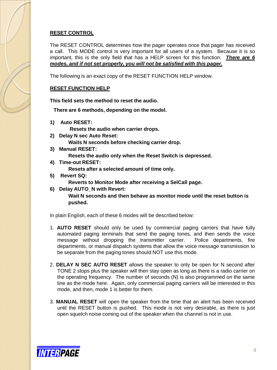# **RESET CONTROL**

The RESET CONTROL determines how the pager operates once that pager has received a call. This MODE control is very important for all users of a system. Because it is so important, this is the only field that has a HELP screen for this function. *There are 6 modes, and if not set properly, you will not be satisfied with this pager.*

The following is an exact copy of the RESET FUNCTION HELP window.

# **RESET FUNCTION HELP**

**This field sets the method to reset the audio.** 

**There are 6 methods, depending on the model.**

**1) Auto RESET:**

**Resets the audio when carrier drops.** 

- **2) Delay N sec Auto Reset: Waits N seconds before checking carrier drop.**
- **3) Manual RESET:**

**Resets the audio only when the Reset Switch is depressed.**

- **4) Time-out RESET: Resets after a selected amount of time only.**
- **5) Revert SQ:**

**Reverts to Monitor Mode after receiving a SelCall page.**

**6) Delay AUTO\_N with Revert:** 

**Wait N seconds and then behave as monitor mode until the reset button is pushed.**

In plain English, each of these 6 modes will be described below:

- 1. **AUTO RESET** should only be used by commercial paging carriers that have fully automated paging terminals that send the paging tones, and then sends the voice message without dropping the transmitter carrier. Police departments, fire departments, or manual dispatch systems that allow the voice message transmission to be separate from the paging tones should NOT use this mode.
- 2. **DELAY N SEC AUTO RESET** allows the speaker to only be open for N second after TONE 2 stops plus the speaker will then stay open as long as there is a radio carrier on the operating frequency. The number of seconds (N) is also programmed on the same line as the mode here. Again, only commercial paging carriers will be interested in this mode, and then, mode 1 is better for them.
- 3. **MANUAL RESET** will open the speaker from the time that an alert has been received until the RESET button is pushed. This mode is not very desirable, as there is just open squelch noise coming out of the speaker when the channel is not in use.

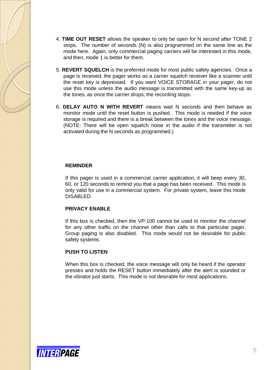- 4. **TIME OUT RESET** allows the speaker to only be open for N second after TONE 2 stops. The number of seconds (N) is also programmed on the same line as the mode here. Again, only commercial paging carriers will be interested in this mode, and then, mode 1 is better for them.
- 5. **REVERT SQUELCH** is the preferred mode for most public safety agencies. Once a page is received, the pager works as a carrier squelch receiver like a scanner until the reset key is depressed. If you want VOICE STORAGE in your pager, do not use this mode unless the audio message is transmitted with the same key-up as the tones, as once the carrier drops, the recording stops.
- 6. **DELAY AUTO N WITH REVERT** means wait N seconds and then behave as monitor mode until the reset button is pushed. This mode is needed if the voice storage is required and there is a break between the tones and the voice message. (NOTE: There will be open squelch noise in the audio if the transmitter is not activated during the N seconds as programmed.)

#### **REMINDER**

If this pager is used in a commercial carrier application, it will beep every 30, 60, or 120 seconds to remind you that a page has been received. This mode is only valid for use in a commercial system. For private system, leave this mode DISABLED.

# **PRIVACY ENABLE**

If this box is checked, then the VP-100 cannot be used to monitor the channel for any other traffic on the channel other than calls to that particular pager. Group paging is also disabled. This mode would not be desirable for public safety systems.

# **PUSH TO LISTEN**

When this box is checked, the voice message will only be heard if the operator presses and holds the RESET button immediately after the alert is sounded or the vibrator just starts. This mode is not desirable for most applications.

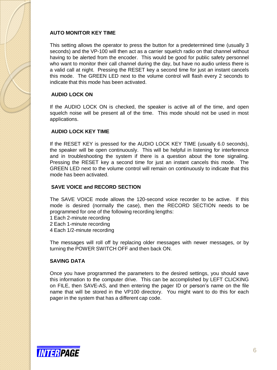# **AUTO MONITOR KEY TIME**

This setting allows the operator to press the button for a predetermined time (usually 3 seconds) and the VP-100 will then act as a carrier squelch radio on that channel without having to be alerted from the encoder. This would be good for public safety personnel who want to monitor their call channel during the day, but have no audio unless there is a valid call at night. Pressing the RESET key a second time for just an instant cancels this mode. The GREEN LED next to the volume control will flash every 2 seconds to indicate that this mode has been activated.

# **AUDIO LOCK ON**

If the AUDIO LOCK ON is checked, the speaker is active all of the time, and open squelch noise will be present all of the time. This mode should not be used in most applications.

# **AUDIO LOCK KEY TIME**

If the RESET KEY is pressed for the AUDIO LOCK KEY TIME (usually 6.0 seconds), the speaker will be open continuously. This will be helpful in listening for interference and in troubleshooting the system if there is a question about the tone signaling. Pressing the RESET key a second time for just an instant cancels this mode. The GREEN LED next to the volume control will remain on continuously to indicate that this mode has been activated.

# **SAVE VOICE and RECORD SECTION**

The SAVE VOICE mode allows the 120-second voice recorder to be active. If this mode is desired (normally the case), then the RECORD SECTION needs to be programmed for one of the following recording lengths:

- 1 Each 2-minute recording
- 2 Each 1-minute recording
- 4 Each 1/2-minute recording

The messages will roll off by replacing older messages with newer messages, or by turning the POWER SWITCH OFF and then back ON.

# **SAVING DATA**

Once you have programmed the parameters to the desired settings, you should save this information to the computer drive. This can be accomplished by LEFT CLICKING on FILE, then SAVE-AS, and then entering the pager ID or person's name on the file name that will be stored in the VP100 directory. You might want to do this for each pager in the system that has a different cap code.